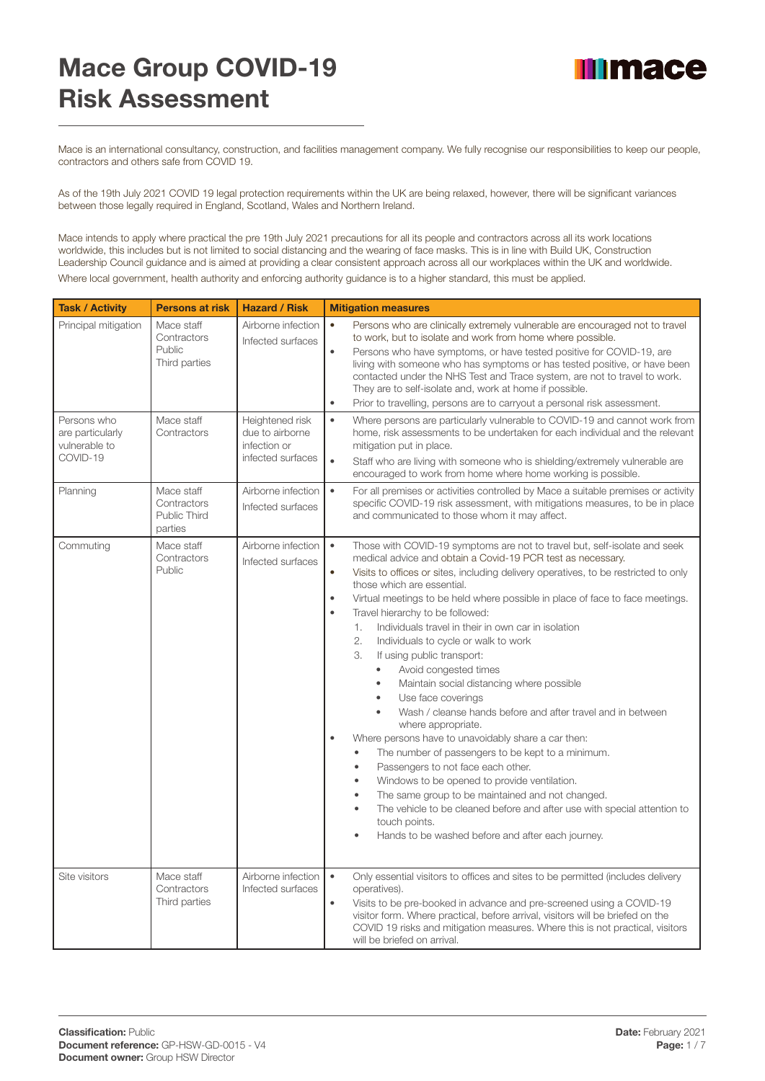## Mace Group COVID-19 Risk Assessment



Mace is an international consultancy, construction, and facilities management company. We fully recognise our responsibilities to keep our people, contractors and others safe from COVID 19.

As of the 19th July 2021 COVID 19 legal protection requirements within the UK are being relaxed, however, there will be significant variances between those legally required in England, Scotland, Wales and Northern Ireland.

Mace intends to apply where practical the pre 19th July 2021 precautions for all its people and contractors across all its work locations worldwide, this includes but is not limited to social distancing and the wearing of face masks. This is in line with Build UK, Construction Leadership Council guidance and is aimed at providing a clear consistent approach across all our workplaces within the UK and worldwide. Where local government, health authority and enforcing authority guidance is to a higher standard, this must be applied.

| <b>Task / Activity</b>                                       | <b>Persons at risk</b>                               | <b>Hazard / Risk</b>                                                    | <b>Mitigation measures</b>                                                                                                                                                                                                                                                                                                                                                                                                                                                                                                                                                                                                                                                                                                                                                                                                                                                                                                                                                                                                                                                                                                                                                                                                                                                                                       |
|--------------------------------------------------------------|------------------------------------------------------|-------------------------------------------------------------------------|------------------------------------------------------------------------------------------------------------------------------------------------------------------------------------------------------------------------------------------------------------------------------------------------------------------------------------------------------------------------------------------------------------------------------------------------------------------------------------------------------------------------------------------------------------------------------------------------------------------------------------------------------------------------------------------------------------------------------------------------------------------------------------------------------------------------------------------------------------------------------------------------------------------------------------------------------------------------------------------------------------------------------------------------------------------------------------------------------------------------------------------------------------------------------------------------------------------------------------------------------------------------------------------------------------------|
| Principal mitigation                                         | Mace staff<br>Contractors<br>Public<br>Third parties | Airborne infection<br>Infected surfaces                                 | $\bullet$<br>Persons who are clinically extremely vulnerable are encouraged not to travel<br>to work, but to isolate and work from home where possible.<br>$\bullet$<br>Persons who have symptoms, or have tested positive for COVID-19, are<br>living with someone who has symptoms or has tested positive, or have been<br>contacted under the NHS Test and Trace system, are not to travel to work.<br>They are to self-isolate and, work at home if possible.<br>Prior to travelling, persons are to carryout a personal risk assessment.<br>$\bullet$                                                                                                                                                                                                                                                                                                                                                                                                                                                                                                                                                                                                                                                                                                                                                       |
| Persons who<br>are particularly<br>vulnerable to<br>COVID-19 | Mace staff<br>Contractors                            | Heightened risk<br>due to airborne<br>infection or<br>infected surfaces | $\bullet$<br>Where persons are particularly vulnerable to COVID-19 and cannot work from<br>home, risk assessments to be undertaken for each individual and the relevant<br>mitigation put in place.<br>$\bullet$<br>Staff who are living with someone who is shielding/extremely vulnerable are<br>encouraged to work from home where home working is possible.                                                                                                                                                                                                                                                                                                                                                                                                                                                                                                                                                                                                                                                                                                                                                                                                                                                                                                                                                  |
| Planning                                                     | Mace staff<br>Contractors<br>Public Third<br>parties | Airborne infection<br>Infected surfaces                                 | $\bullet$<br>For all premises or activities controlled by Mace a suitable premises or activity<br>specific COVID-19 risk assessment, with mitigations measures, to be in place<br>and communicated to those whom it may affect.                                                                                                                                                                                                                                                                                                                                                                                                                                                                                                                                                                                                                                                                                                                                                                                                                                                                                                                                                                                                                                                                                  |
| Commuting                                                    | Mace staff<br>Contractors<br>Public                  | Airborne infection<br>Infected surfaces                                 | $\bullet$<br>Those with COVID-19 symptoms are not to travel but, self-isolate and seek<br>medical advice and obtain a Covid-19 PCR test as necessary.<br>$\bullet$<br>Visits to offices or sites, including delivery operatives, to be restricted to only<br>those which are essential.<br>Virtual meetings to be held where possible in place of face to face meetings.<br>$\bullet$<br>Travel hierarchy to be followed:<br>$\bullet$<br>Individuals travel in their in own car in isolation<br>1.<br>2.<br>Individuals to cycle or walk to work<br>3.<br>If using public transport:<br>Avoid congested times<br>$\bullet$<br>Maintain social distancing where possible<br>$\bullet$<br>Use face coverings<br>$\bullet$<br>Wash / cleanse hands before and after travel and in between<br>$\bullet$<br>where appropriate.<br>Where persons have to unavoidably share a car then:<br>$\bullet$<br>The number of passengers to be kept to a minimum.<br>$\bullet$<br>Passengers to not face each other.<br>$\bullet$<br>Windows to be opened to provide ventilation.<br>$\bullet$<br>The same group to be maintained and not changed.<br>$\bullet$<br>The vehicle to be cleaned before and after use with special attention to<br>$\bullet$<br>touch points.<br>Hands to be washed before and after each journey. |
| Site visitors                                                | Mace staff<br>Contractors<br>Third parties           | Airborne infection<br>Infected surfaces                                 | $\bullet$<br>Only essential visitors to offices and sites to be permitted (includes delivery<br>operatives).<br>Visits to be pre-booked in advance and pre-screened using a COVID-19<br>$\bullet$<br>visitor form. Where practical, before arrival, visitors will be briefed on the<br>COVID 19 risks and mitigation measures. Where this is not practical, visitors<br>will be briefed on arrival.                                                                                                                                                                                                                                                                                                                                                                                                                                                                                                                                                                                                                                                                                                                                                                                                                                                                                                              |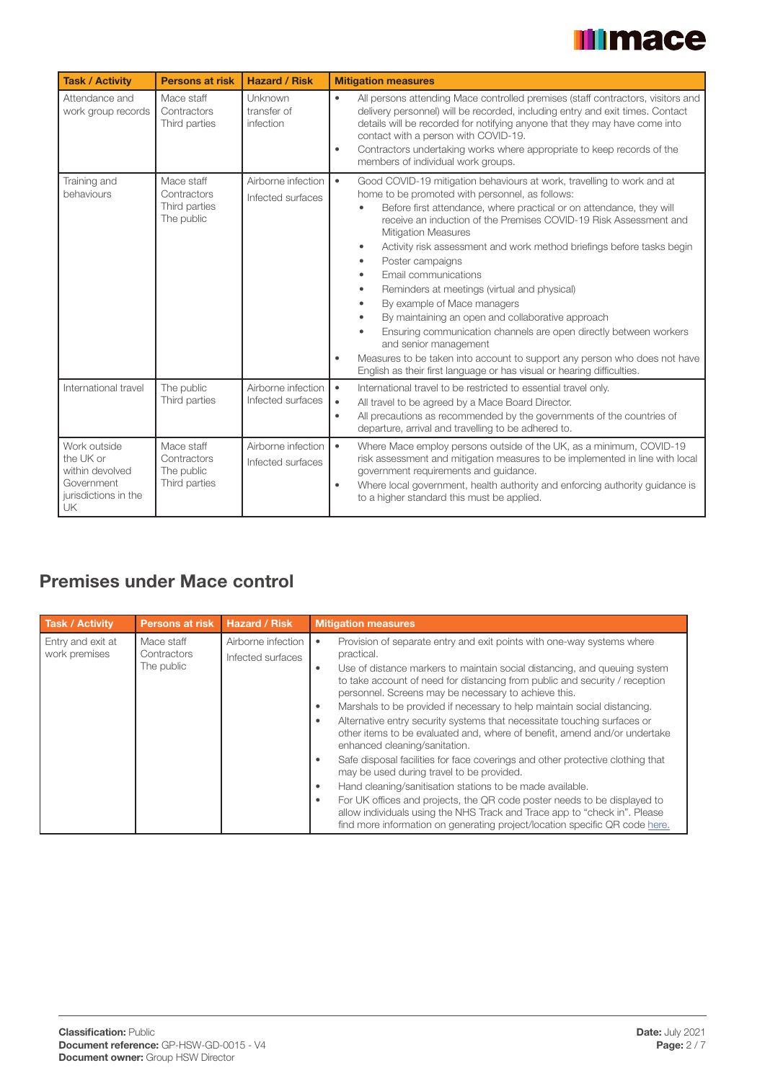# **Illmace**

| <b>Task / Activity</b>                                                                   | <b>Persons at risk</b>                                   | <b>Hazard / Risk</b>                    | <b>Mitigation measures</b>                                                                                                                                                                                                                                                                                                                                                                                                                                                                                                                                                                                                                                                                                                                                                                                                                                                                                                              |
|------------------------------------------------------------------------------------------|----------------------------------------------------------|-----------------------------------------|-----------------------------------------------------------------------------------------------------------------------------------------------------------------------------------------------------------------------------------------------------------------------------------------------------------------------------------------------------------------------------------------------------------------------------------------------------------------------------------------------------------------------------------------------------------------------------------------------------------------------------------------------------------------------------------------------------------------------------------------------------------------------------------------------------------------------------------------------------------------------------------------------------------------------------------------|
| Attendance and<br>work group records                                                     | Mace staff<br>Contractors<br>Third parties               | Unknown<br>transfer of<br>infection     | $\bullet$<br>All persons attending Mace controlled premises (staff contractors, visitors and<br>delivery personnel) will be recorded, including entry and exit times. Contact<br>details will be recorded for notifying anyone that they may have come into<br>contact with a person with COVID-19.<br>Contractors undertaking works where appropriate to keep records of the<br>$\bullet$<br>members of individual work groups.                                                                                                                                                                                                                                                                                                                                                                                                                                                                                                        |
| Training and<br>behaviours                                                               | Mace staff<br>Contractors<br>Third parties<br>The public | Airborne infection<br>Infected surfaces | $\bullet$<br>Good COVID-19 mitigation behaviours at work, travelling to work and at<br>home to be promoted with personnel, as follows:<br>Before first attendance, where practical or on attendance, they will<br>receive an induction of the Premises COVID-19 Risk Assessment and<br><b>Mitigation Measures</b><br>Activity risk assessment and work method briefings before tasks begin<br>$\bullet$<br>Poster campaigns<br>$\bullet$<br>Email communications<br>$\bullet$<br>Reminders at meetings (virtual and physical)<br>$\bullet$<br>By example of Mace managers<br>$\bullet$<br>By maintaining an open and collaborative approach<br>$\bullet$<br>Ensuring communication channels are open directly between workers<br>$\bullet$<br>and senior management<br>Measures to be taken into account to support any person who does not have<br>$\bullet$<br>English as their first language or has visual or hearing difficulties. |
| International travel                                                                     | The public<br>Third parties                              | Airborne infection<br>Infected surfaces | $\bullet$<br>International travel to be restricted to essential travel only.<br>All travel to be agreed by a Mace Board Director.<br>$\bullet$<br>All precautions as recommended by the governments of the countries of<br>$\bullet$<br>departure, arrival and travelling to be adhered to.                                                                                                                                                                                                                                                                                                                                                                                                                                                                                                                                                                                                                                             |
| Work outside<br>the UK or<br>within devolved<br>Government<br>jurisdictions in the<br>UK | Mace staff<br>Contractors<br>The public<br>Third parties | Airborne infection<br>Infected surfaces | $\bullet$<br>Where Mace employ persons outside of the UK, as a minimum, COVID-19<br>risk assessment and mitigation measures to be implemented in line with local<br>government requirements and guidance.<br>Where local government, health authority and enforcing authority guidance is<br>$\bullet$<br>to a higher standard this must be applied.                                                                                                                                                                                                                                                                                                                                                                                                                                                                                                                                                                                    |

#### Premises under Mace control

| <b>Task / Activity</b>             | <b>Persons at risk</b>                  | <b>Hazard / Risk</b>                    | <b>Mitigation measures</b>                                                                                                                                                                                                                                                                                                                                                                                                                                                                                                                                                                                                                                                                                                                                                                                                                                                                                                                                                                                                                                            |
|------------------------------------|-----------------------------------------|-----------------------------------------|-----------------------------------------------------------------------------------------------------------------------------------------------------------------------------------------------------------------------------------------------------------------------------------------------------------------------------------------------------------------------------------------------------------------------------------------------------------------------------------------------------------------------------------------------------------------------------------------------------------------------------------------------------------------------------------------------------------------------------------------------------------------------------------------------------------------------------------------------------------------------------------------------------------------------------------------------------------------------------------------------------------------------------------------------------------------------|
| Entry and exit at<br>work premises | Mace staff<br>Contractors<br>The public | Airborne infection<br>Infected surfaces | Provision of separate entry and exit points with one-way systems where<br>$\bullet$<br>practical.<br>Use of distance markers to maintain social distancing, and queuing system<br>$\bullet$<br>to take account of need for distancing from public and security / reception<br>personnel. Screens may be necessary to achieve this.<br>Marshals to be provided if necessary to help maintain social distancing.<br>٠<br>Alternative entry security systems that necessitate touching surfaces or<br>٠<br>other items to be evaluated and, where of benefit, amend and/or undertake<br>enhanced cleaning/sanitation.<br>Safe disposal facilities for face coverings and other protective clothing that<br>٠<br>may be used during travel to be provided.<br>Hand cleaning/sanitisation stations to be made available.<br>٠<br>For UK offices and projects, the QR code poster needs to be displayed to<br>٠<br>allow individuals using the NHS Track and Trace app to "check in". Please<br>find more information on generating project/location specific QR code here. |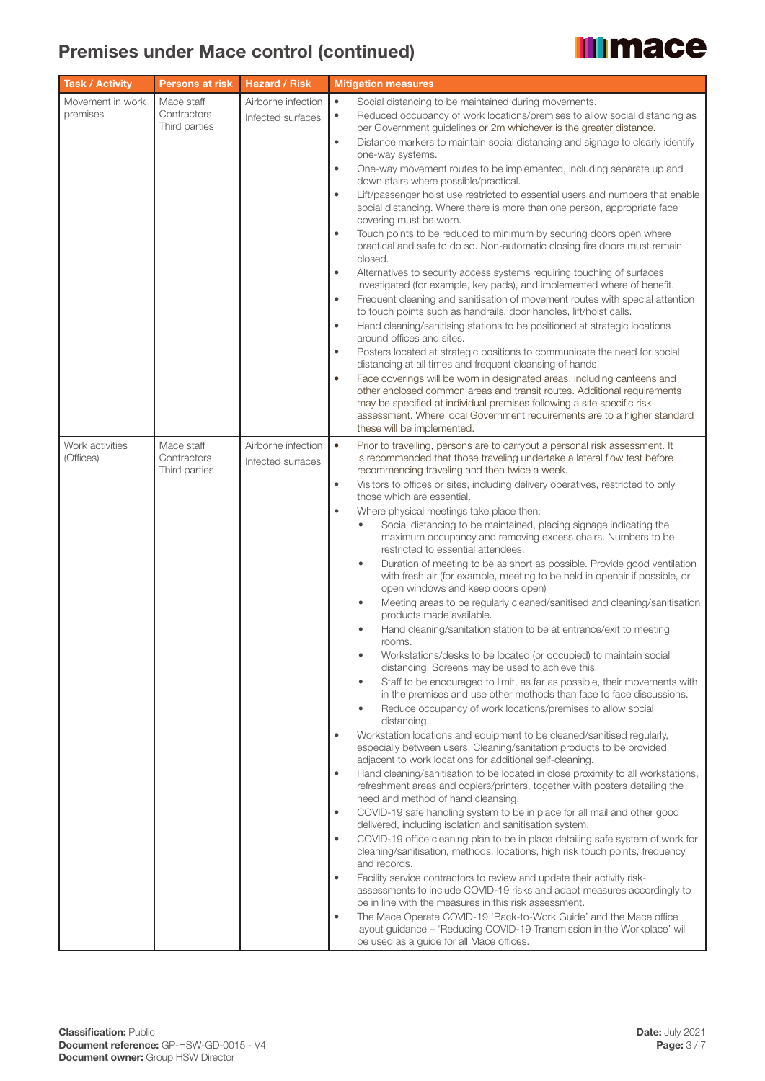

| <b>Task / Activity</b>       | <b>Persons at risk</b>    | <b>Hazard / Risk</b>                    | <b>Mitigation measures</b>                                                                                                                                                                                              |
|------------------------------|---------------------------|-----------------------------------------|-------------------------------------------------------------------------------------------------------------------------------------------------------------------------------------------------------------------------|
| Movement in work             | Mace staff                | Airborne infection                      | $\bullet$<br>Social distancing to be maintained during movements.                                                                                                                                                       |
| premises                     | Contractors               | Infected surfaces                       | Reduced occupancy of work locations/premises to allow social distancing as<br>$\bullet$                                                                                                                                 |
|                              | Third parties             |                                         | per Government guidelines or 2m whichever is the greater distance.<br>$\bullet$                                                                                                                                         |
|                              |                           |                                         | Distance markers to maintain social distancing and signage to clearly identify<br>one-way systems.                                                                                                                      |
|                              |                           |                                         | One-way movement routes to be implemented, including separate up and<br>$\bullet$                                                                                                                                       |
|                              |                           |                                         | down stairs where possible/practical.                                                                                                                                                                                   |
|                              |                           |                                         | Lift/passenger hoist use restricted to essential users and numbers that enable<br>$\bullet$<br>social distancing. Where there is more than one person, appropriate face<br>covering must be worn.                       |
|                              |                           |                                         | Touch points to be reduced to minimum by securing doors open where<br>$\bullet$<br>practical and safe to do so. Non-automatic closing fire doors must remain                                                            |
|                              |                           |                                         | closed.<br>Alternatives to security access systems requiring touching of surfaces<br>$\bullet$                                                                                                                          |
|                              |                           |                                         | investigated (for example, key pads), and implemented where of benefit.<br>Frequent cleaning and sanitisation of movement routes with special attention<br>$\bullet$                                                    |
|                              |                           |                                         | to touch points such as handrails, door handles, lift/hoist calls.<br>$\bullet$                                                                                                                                         |
|                              |                           |                                         | Hand cleaning/sanitising stations to be positioned at strategic locations<br>around offices and sites.                                                                                                                  |
|                              |                           |                                         | Posters located at strategic positions to communicate the need for social<br>$\bullet$<br>distancing at all times and frequent cleansing of hands.                                                                      |
|                              |                           |                                         | Face coverings will be worn in designated areas, including canteens and<br>$\bullet$                                                                                                                                    |
|                              |                           |                                         | other enclosed common areas and transit routes. Additional requirements<br>may be specified at individual premises following a site specific risk                                                                       |
|                              |                           |                                         | assessment. Where local Government requirements are to a higher standard                                                                                                                                                |
|                              |                           |                                         | these will be implemented.                                                                                                                                                                                              |
| Work activities<br>(Offices) | Mace staff<br>Contractors | Airborne infection<br>Infected surfaces | $\bullet$<br>Prior to travelling, persons are to carryout a personal risk assessment. It<br>is recommended that those traveling undertake a lateral flow test before                                                    |
|                              | Third parties             |                                         | recommencing traveling and then twice a week.<br>Visitors to offices or sites, including delivery operatives, restricted to only<br>$\bullet$                                                                           |
|                              |                           |                                         | those which are essential.                                                                                                                                                                                              |
|                              |                           |                                         | Where physical meetings take place then:<br>$\bullet$                                                                                                                                                                   |
|                              |                           |                                         | Social distancing to be maintained, placing signage indicating the<br>maximum occupancy and removing excess chairs. Numbers to be<br>restricted to essential attendees.                                                 |
|                              |                           |                                         | Duration of meeting to be as short as possible. Provide good ventilation<br>$\bullet$<br>with fresh air (for example, meeting to be held in openair if possible, or                                                     |
|                              |                           |                                         | open windows and keep doors open)<br>Meeting areas to be regularly cleaned/sanitised and cleaning/sanitisation<br>$\bullet$                                                                                             |
|                              |                           |                                         | products made available.<br>Hand cleaning/sanitation station to be at entrance/exit to meeting                                                                                                                          |
|                              |                           |                                         | rooms.<br>Workstations/desks to be located (or occupied) to maintain social<br>$\bullet$<br>distancing. Screens may be used to achieve this.                                                                            |
|                              |                           |                                         | Staff to be encouraged to limit, as far as possible, their movements with<br>$\bullet$<br>in the premises and use other methods than face to face discussions.                                                          |
|                              |                           |                                         | Reduce occupancy of work locations/premises to allow social<br>$\bullet$<br>distancing,                                                                                                                                 |
|                              |                           |                                         | Workstation locations and equipment to be cleaned/sanitised regularly,<br>$\bullet$<br>especially between users. Cleaning/sanitation products to be provided                                                            |
|                              |                           |                                         | adjacent to work locations for additional self-cleaning.<br>Hand cleaning/sanitisation to be located in close proximity to all workstations,<br>$\bullet$                                                               |
|                              |                           |                                         | refreshment areas and copiers/printers, together with posters detailing the<br>need and method of hand cleansing.                                                                                                       |
|                              |                           |                                         | COVID-19 safe handling system to be in place for all mail and other good<br>$\bullet$<br>delivered, including isolation and sanitisation system.                                                                        |
|                              |                           |                                         | COVID-19 office cleaning plan to be in place detailing safe system of work for<br>$\bullet$                                                                                                                             |
|                              |                           |                                         | cleaning/sanitisation, methods, locations, high risk touch points, frequency<br>and records.                                                                                                                            |
|                              |                           |                                         | Facility service contractors to review and update their activity risk-<br>$\bullet$<br>assessments to include COVID-19 risks and adapt measures accordingly to<br>be in line with the measures in this risk assessment. |
|                              |                           |                                         | The Mace Operate COVID-19 'Back-to-Work Guide' and the Mace office<br>$\bullet$                                                                                                                                         |
|                              |                           |                                         | layout guidance - 'Reducing COVID-19 Transmission in the Workplace' will<br>be used as a guide for all Mace offices.                                                                                                    |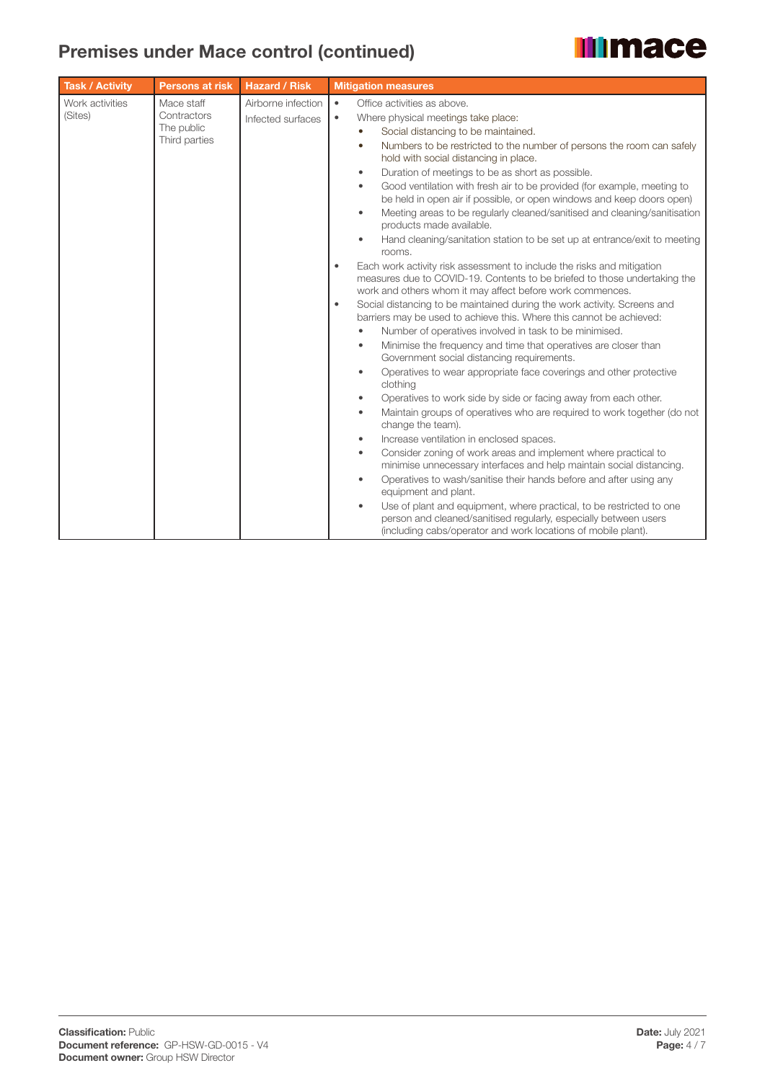# **Illimace**

| <b>Task / Activity</b>     | <b>Persons at risk</b>                                   | <b>Hazard / Risk</b>                    | <b>Mitigation measures</b>                                                                                                                                                                                                                                                                                                                                                                                                                                                                                                                                                                                                                                                                                                                                                                                                                                                                                                                                                                                                                                                                                                                                                                                                                                                                                                                                                                                                                                                                                                                                                                                                                                                                                                                                                                                                                                                                                                                                                                                                                                                                                                 |
|----------------------------|----------------------------------------------------------|-----------------------------------------|----------------------------------------------------------------------------------------------------------------------------------------------------------------------------------------------------------------------------------------------------------------------------------------------------------------------------------------------------------------------------------------------------------------------------------------------------------------------------------------------------------------------------------------------------------------------------------------------------------------------------------------------------------------------------------------------------------------------------------------------------------------------------------------------------------------------------------------------------------------------------------------------------------------------------------------------------------------------------------------------------------------------------------------------------------------------------------------------------------------------------------------------------------------------------------------------------------------------------------------------------------------------------------------------------------------------------------------------------------------------------------------------------------------------------------------------------------------------------------------------------------------------------------------------------------------------------------------------------------------------------------------------------------------------------------------------------------------------------------------------------------------------------------------------------------------------------------------------------------------------------------------------------------------------------------------------------------------------------------------------------------------------------------------------------------------------------------------------------------------------------|
| Work activities<br>(Sites) | Mace staff<br>Contractors<br>The public<br>Third parties | Airborne infection<br>Infected surfaces | Office activities as above.<br>$\bullet$<br>Where physical meetings take place:<br>$\bullet$<br>Social distancing to be maintained.<br>Numbers to be restricted to the number of persons the room can safely<br>hold with social distancing in place.<br>Duration of meetings to be as short as possible.<br>$\bullet$<br>Good ventilation with fresh air to be provided (for example, meeting to<br>$\bullet$<br>be held in open air if possible, or open windows and keep doors open)<br>Meeting areas to be regularly cleaned/sanitised and cleaning/sanitisation<br>$\bullet$<br>products made available.<br>Hand cleaning/sanitation station to be set up at entrance/exit to meeting<br>rooms.<br>Each work activity risk assessment to include the risks and mitigation<br>$\bullet$<br>measures due to COVID-19. Contents to be briefed to those undertaking the<br>work and others whom it may affect before work commences.<br>Social distancing to be maintained during the work activity. Screens and<br>$\bullet$<br>barriers may be used to achieve this. Where this cannot be achieved:<br>Number of operatives involved in task to be minimised.<br>Minimise the frequency and time that operatives are closer than<br>٠<br>Government social distancing requirements.<br>Operatives to wear appropriate face coverings and other protective<br>$\bullet$<br>clothing<br>Operatives to work side by side or facing away from each other.<br>$\bullet$<br>Maintain groups of operatives who are required to work together (do not<br>$\bullet$<br>change the team).<br>Increase ventilation in enclosed spaces.<br>$\bullet$<br>Consider zoning of work areas and implement where practical to<br>$\bullet$<br>minimise unnecessary interfaces and help maintain social distancing.<br>Operatives to wash/sanitise their hands before and after using any<br>equipment and plant.<br>Use of plant and equipment, where practical, to be restricted to one<br>$\bullet$<br>person and cleaned/sanitised regularly, especially between users<br>(including cabs/operator and work locations of mobile plant). |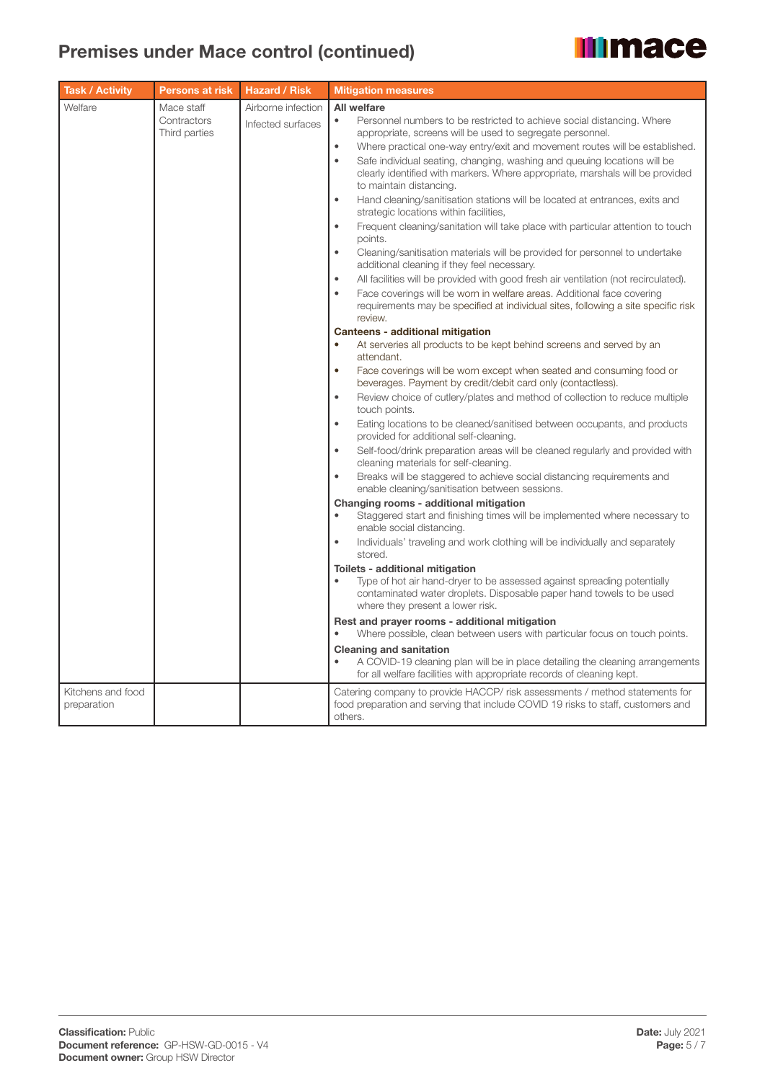| <b>Task / Activity</b>           | Persons at risk                            | <b>Hazard / Risk</b>                    | <b>Mitigation measures</b>                                                                                                                                                                                                                                                                                                                                                                                                                                                                                                                                                                                                                                                                                                                                                                                                                                                                                                                                                                                                                                                                                                                                                                                                                                          |
|----------------------------------|--------------------------------------------|-----------------------------------------|---------------------------------------------------------------------------------------------------------------------------------------------------------------------------------------------------------------------------------------------------------------------------------------------------------------------------------------------------------------------------------------------------------------------------------------------------------------------------------------------------------------------------------------------------------------------------------------------------------------------------------------------------------------------------------------------------------------------------------------------------------------------------------------------------------------------------------------------------------------------------------------------------------------------------------------------------------------------------------------------------------------------------------------------------------------------------------------------------------------------------------------------------------------------------------------------------------------------------------------------------------------------|
| Welfare                          | Mace staff<br>Contractors<br>Third parties | Airborne infection<br>Infected surfaces | All welfare<br>Personnel numbers to be restricted to achieve social distancing. Where<br>$\bullet$<br>appropriate, screens will be used to segregate personnel.<br>Where practical one-way entry/exit and movement routes will be established.<br>$\bullet$<br>Safe individual seating, changing, washing and queuing locations will be<br>$\bullet$<br>clearly identified with markers. Where appropriate, marshals will be provided<br>to maintain distancing.<br>Hand cleaning/sanitisation stations will be located at entrances, exits and<br>$\bullet$<br>strategic locations within facilities,<br>Frequent cleaning/sanitation will take place with particular attention to touch<br>$\bullet$<br>points.<br>Cleaning/sanitisation materials will be provided for personnel to undertake<br>$\bullet$<br>additional cleaning if they feel necessary.<br>All facilities will be provided with good fresh air ventilation (not recirculated).<br>$\bullet$<br>Face coverings will be worn in welfare areas. Additional face covering<br>$\bullet$<br>requirements may be specified at individual sites, following a site specific risk<br>review.<br>Canteens - additional mitigation<br>At serveries all products to be kept behind screens and served by an |
|                                  |                                            |                                         | attendant.<br>$\bullet$<br>Face coverings will be worn except when seated and consuming food or<br>beverages. Payment by credit/debit card only (contactless).<br>Review choice of cutlery/plates and method of collection to reduce multiple<br>$\bullet$<br>touch points.<br>Eating locations to be cleaned/sanitised between occupants, and products<br>$\bullet$<br>provided for additional self-cleaning.<br>Self-food/drink preparation areas will be cleaned regularly and provided with<br>$\bullet$<br>cleaning materials for self-cleaning.<br>Breaks will be staggered to achieve social distancing requirements and<br>enable cleaning/sanitisation between sessions.                                                                                                                                                                                                                                                                                                                                                                                                                                                                                                                                                                                   |
|                                  |                                            |                                         | Changing rooms - additional mitigation<br>Staggered start and finishing times will be implemented where necessary to<br>enable social distancing.<br>Individuals' traveling and work clothing will be individually and separately<br>$\bullet$<br>stored.<br>Toilets - additional mitigation<br>Type of hot air hand-dryer to be assessed against spreading potentially<br>contaminated water droplets. Disposable paper hand towels to be used<br>where they present a lower risk.<br>Rest and prayer rooms - additional mitigation<br>Where possible, clean between users with particular focus on touch points.<br><b>Cleaning and sanitation</b><br>A COVID-19 cleaning plan will be in place detailing the cleaning arrangements<br>for all welfare facilities with appropriate records of cleaning kept.                                                                                                                                                                                                                                                                                                                                                                                                                                                      |
| Kitchens and food<br>preparation |                                            |                                         | Catering company to provide HACCP/ risk assessments / method statements for<br>food preparation and serving that include COVID 19 risks to staff, customers and<br>others.                                                                                                                                                                                                                                                                                                                                                                                                                                                                                                                                                                                                                                                                                                                                                                                                                                                                                                                                                                                                                                                                                          |

**Illimace**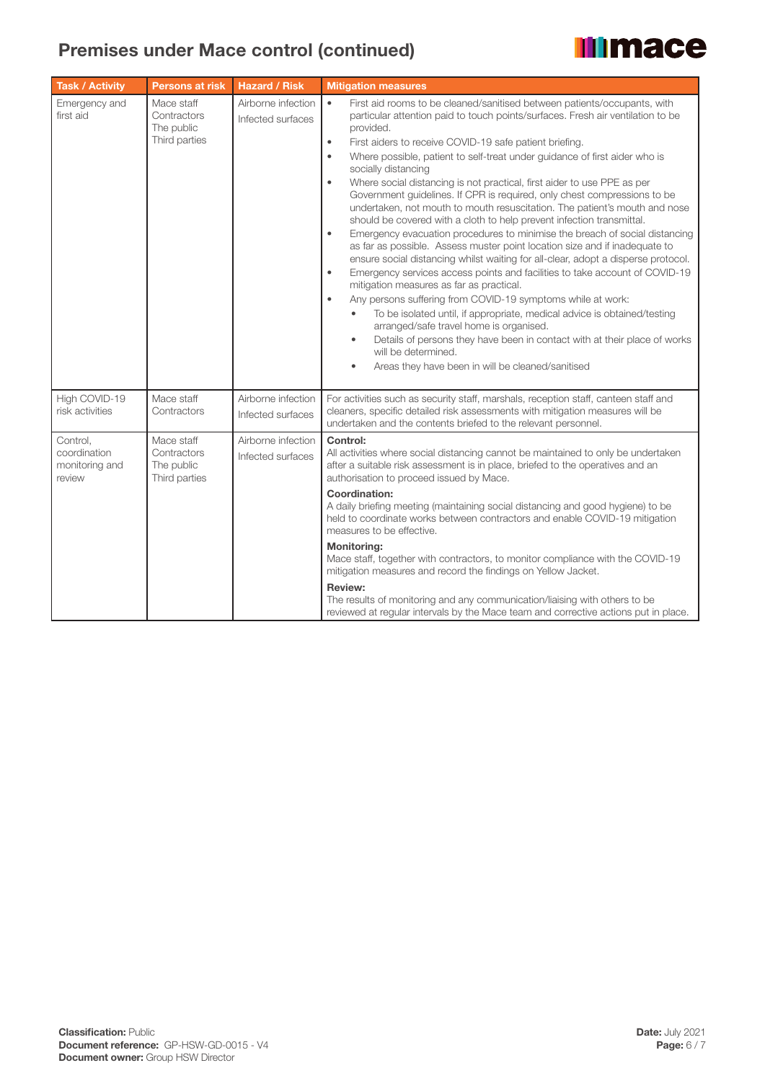| <b>Task / Activity</b>                               | <b>Persons at risk</b>                                   | <b>Hazard / Risk</b>                    | <b>Mitigation measures</b>                                                                                                                                                                                                                                                                                                                                                                                                                                                                                                                                                                                                                                                                                                                                                                                                                                                                                                                                                                                                                                                                                                                                                                                                                                                                                                                                                                                                                                                                 |
|------------------------------------------------------|----------------------------------------------------------|-----------------------------------------|--------------------------------------------------------------------------------------------------------------------------------------------------------------------------------------------------------------------------------------------------------------------------------------------------------------------------------------------------------------------------------------------------------------------------------------------------------------------------------------------------------------------------------------------------------------------------------------------------------------------------------------------------------------------------------------------------------------------------------------------------------------------------------------------------------------------------------------------------------------------------------------------------------------------------------------------------------------------------------------------------------------------------------------------------------------------------------------------------------------------------------------------------------------------------------------------------------------------------------------------------------------------------------------------------------------------------------------------------------------------------------------------------------------------------------------------------------------------------------------------|
| Emergency and<br>first aid                           | Mace staff<br>Contractors<br>The public<br>Third parties | Airborne infection<br>Infected surfaces | $\bullet$<br>First aid rooms to be cleaned/sanitised between patients/occupants, with<br>particular attention paid to touch points/surfaces. Fresh air ventilation to be<br>provided.<br>First aiders to receive COVID-19 safe patient briefing.<br>$\bullet$<br>Where possible, patient to self-treat under guidance of first aider who is<br>$\bullet$<br>socially distancing<br>Where social distancing is not practical, first aider to use PPE as per<br>$\bullet$<br>Government guidelines. If CPR is required, only chest compressions to be<br>undertaken, not mouth to mouth resuscitation. The patient's mouth and nose<br>should be covered with a cloth to help prevent infection transmittal.<br>Emergency evacuation procedures to minimise the breach of social distancing<br>$\bullet$<br>as far as possible. Assess muster point location size and if inadequate to<br>ensure social distancing whilst waiting for all-clear, adopt a disperse protocol.<br>Emergency services access points and facilities to take account of COVID-19<br>$\bullet$<br>mitigation measures as far as practical.<br>$\bullet$<br>Any persons suffering from COVID-19 symptoms while at work:<br>To be isolated until, if appropriate, medical advice is obtained/testing<br>arranged/safe travel home is organised.<br>Details of persons they have been in contact with at their place of works<br>$\bullet$<br>will be determined.<br>Areas they have been in will be cleaned/sanitised |
| High COVID-19<br>risk activities                     | Mace staff<br>Contractors                                | Airborne infection<br>Infected surfaces | For activities such as security staff, marshals, reception staff, canteen staff and<br>cleaners, specific detailed risk assessments with mitigation measures will be<br>undertaken and the contents briefed to the relevant personnel.                                                                                                                                                                                                                                                                                                                                                                                                                                                                                                                                                                                                                                                                                                                                                                                                                                                                                                                                                                                                                                                                                                                                                                                                                                                     |
| Control,<br>coordination<br>monitoring and<br>review | Mace staff<br>Contractors<br>The public<br>Third parties | Airborne infection<br>Infected surfaces | Control:<br>All activities where social distancing cannot be maintained to only be undertaken<br>after a suitable risk assessment is in place, briefed to the operatives and an<br>authorisation to proceed issued by Mace.<br><b>Coordination:</b><br>A daily briefing meeting (maintaining social distancing and good hygiene) to be<br>held to coordinate works between contractors and enable COVID-19 mitigation<br>measures to be effective.<br><b>Monitoring:</b><br>Mace staff, together with contractors, to monitor compliance with the COVID-19<br>mitigation measures and record the findings on Yellow Jacket.<br><b>Review:</b><br>The results of monitoring and any communication/liaising with others to be<br>reviewed at regular intervals by the Mace team and corrective actions put in place.                                                                                                                                                                                                                                                                                                                                                                                                                                                                                                                                                                                                                                                                         |

**Illimace**